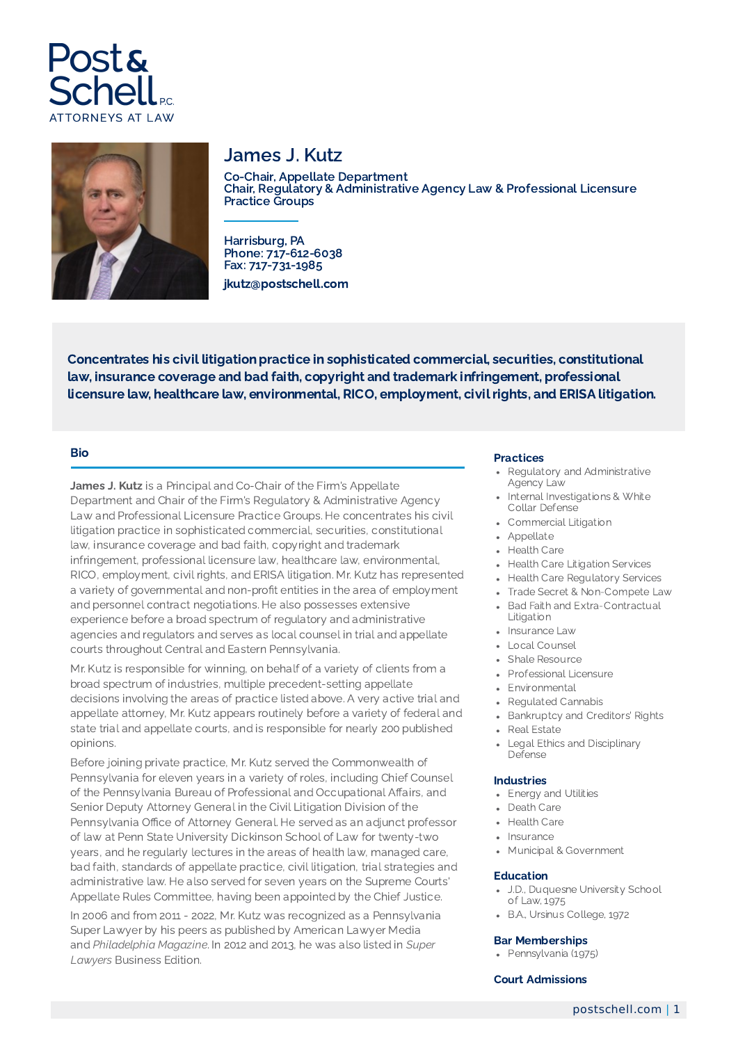



# James J. Kutz

Co-Chair, Appellate Department Chair, Regulatory & Administrative Agency Law & Professional Licensure Practice Groups

Harrisburg, PA Phone: 717-612-6038 Fax: 717-731-1985 jkutz@postschell.com

Concentrates his civil litigation practice in sophisticated commercial, securities, constitutional law, insurance coverage and bad faith, copyright and trademark infringement, professional licensure law, healthcare law, environmental, RICO, employment, civil rights, and ERISA litigation.

## Bio

James J. Kutz is a Principal and Co-Chair of the Firm's Appellate Department and Chair of the Firm's Regulatory & Administrative Agency Law and Professional Licensure Practice Groups. He concentrates his civil litigation practice in sophisticated commercial, securities, constitutional law, insurance coverage and bad faith, copyright and trademark infringement, professional licensure law, healthcare law, environmental, RICO, employment, civil rights, and ERISA litigation. Mr. Kutz has represented a variety of governmental and non-profit entities in the area of employment and personnel contract negotiations. He also possesses extensive experience before a broad spectrum of regulatory and administrative agencies and regulators and serves as local counsel in trial and appellate courts throughout Central and Eastern Pennsylvania.

Mr. Kutz is responsible for winning, on behalf of a variety of clients from a broad spectrum of industries, multiple precedent-setting appellate decisions involving the areas of practice listed above. A very active trial and appellate attorney, Mr. Kutz appears routinely before a variety of federal and state trial and appellate courts, and is responsible for nearly 200 published opinions.

Before joining private practice, Mr. Kutz served the Commonwealth of Pennsylvania for eleven years in a variety of roles, including Chief Counsel of the Pennsylvania Bureau of Professional and Occupational Affairs, and Senior Deputy Attorney General in the Civil Litigation Division of the Pennsylvania Office of Attorney General. He served as an adjunct professor of law at Penn State University Dickinson School of Law for twenty-two years, and he regularly lectures in the areas of health law, managed care, bad faith, standards of appellate practice, civil litigation, trial strategies and administrative law. He also served for seven years on the Supreme Courts' Appellate Rules Committee, having been appointed by the Chief Justice.

In 2006 and from 2011 - 2022, Mr. Kutz was recognized as a Pennsylvania Super Lawyer by his peers as published by American Lawyer Media and *Philadelphia Magazine*. In 2012 and 2013, he was also listed in *Super Lawyers* Business Edition.

#### Practices

- Regulatory and Administrative Agency Law
- Internal Investigations & White Collar Defense
- Commercial Litigation
- Appellate
- Health Care
- Health Care Litigation Services
- Health Care Regulatory Services
- Trade Secret & Non-Compete Law
- Bad Faith and Extra-Contractual Litigation
- Insurance Law
- Local Counsel
- Shale Resource
- Professional Licensure
- Environmental
- Regulated Cannabis
- Bankruptcy and Creditors' Rights
- Real Estate
- Legal Ethics and Disciplinary Defense

### Industries

- Energy and Utilities
- Death Care
- Health Care
- Insurance
- Municipal & Government

### Education

- J.D., Duquesne University School of Law, 1975
- B.A., Ursinus College, 1972

#### Bar Memberships

Pennsylvania (1975)

#### Court Admissions